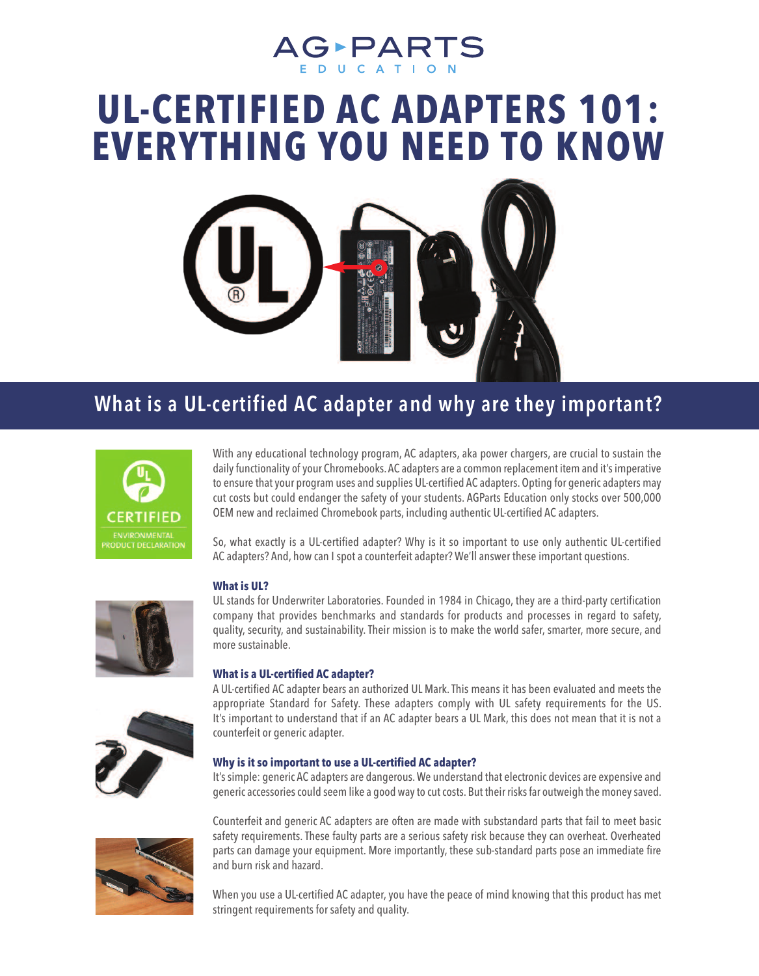# AG-PARTS

## **UL-CERTIFIED AC ADAPTERS 101: EVERYTHING YOU NEED TO KNOW**



### **What is a UL-certified AC adapter and why are they important?**



With any educational technology program, AC adapters, aka power chargers, are crucial to sustain the daily functionality of your Chromebooks. AC adapters are a common replacement item and it's imperative to ensure that your program uses and supplies UL-certified AC adapters. Opting for generic adapters may cut costs but could endanger the safety of your students. AGParts Education only stocks over 500,000 OEM new and reclaimed Chromebook parts, including authentic UL-certified AC adapters.

So, what exactly is a UL-certified adapter? Why is it so important to use only authentic UL-certified AC adapters? And, how can I spot a counterfeit adapter? We'll answer these important questions.



UL stands for Underwriter Laboratories. Founded in 1984 in Chicago, they are a third-party certification company that provides benchmarks and standards for products and processes in regard to safety, quality, security, and sustainability.Their mission is to make the world safer, smarter, more secure, and more sustainable.

#### **What is a UL-certified AC adapter?**

A UL-certified AC adapter bears an authorized UL Mark.This means it has been evaluated and meets the appropriate Standard for Safety. These adapters comply with UL safety requirements for the US. It's important to understand that if an AC adapter bears a UL Mark, this does not mean that it is not a counterfeit or generic adapter.

#### **Why is it so important to use a UL-certified AC adapter?**

It'ssimple: generic AC adapters are dangerous.We understand that electronic devices are expensive and generic accessories could seem like a good way to cut costs. But their risks far outweigh the money saved.



Counterfeit and generic AC adapters are often are made with substandard parts that fail to meet basic safety requirements.These faulty parts are a serious safety risk because they can overheat. Overheated parts can damage your equipment. More importantly, these sub-standard parts pose an immediate fire and burn risk and hazard.

When you use a UL-certified AC adapter, you have the peace of mind knowing that this product has met stringent requirements for safety and quality.